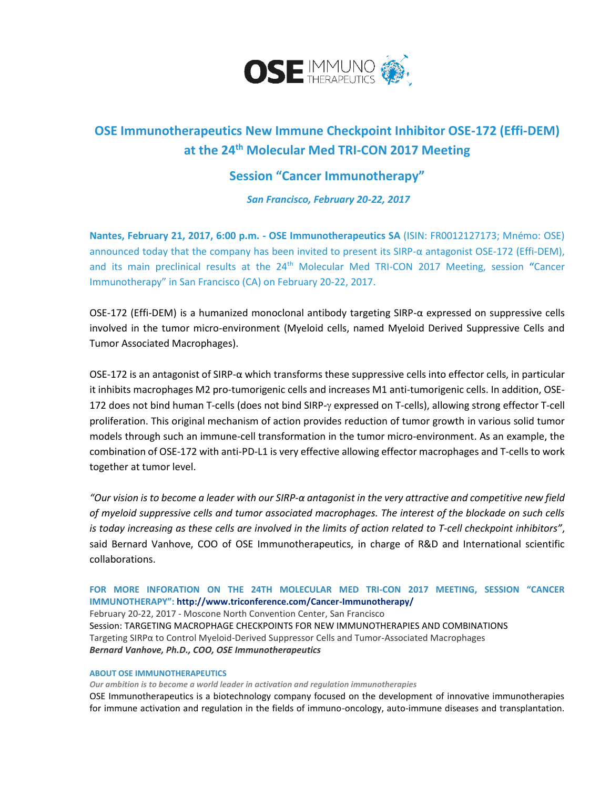

# **OSE Immunotherapeutics New Immune Checkpoint Inhibitor OSE-172 (Effi-DEM) at the 24th Molecular Med TRI-CON 2017 Meeting**

# **Session "Cancer Immunotherapy"**

*San Francisco, February 20-22, 2017*

**Nantes, February 21, 2017, 6:00 p.m. - OSE Immunotherapeutics SA** (ISIN: FR0012127173; Mnémo: OSE) announced today that the company has been invited to present its SIRP-α antagonist OSE-172 (Effi-DEM), and its main preclinical results at the 24<sup>th</sup> Molecular Med TRI-CON 2017 Meeting, session "Cancer Immunotherapy" in San Francisco (CA) on February 20-22, 2017.

OSE-172 (Effi-DEM) is a humanized monoclonal antibody targeting SIRP-α expressed on suppressive cells involved in the tumor micro-environment (Myeloid cells, named Myeloid Derived Suppressive Cells and Tumor Associated Macrophages).

OSE-172 is an antagonist of SIRP-α which transforms these suppressive cells into effector cells, in particular it inhibits macrophages M2 pro-tumorigenic cells and increases M1 anti-tumorigenic cells. In addition, OSE-172 does not bind human T-cells (does not bind SIRP- $\gamma$  expressed on T-cells), allowing strong effector T-cell proliferation. This original mechanism of action provides reduction of tumor growth in various solid tumor models through such an immune-cell transformation in the tumor micro-environment. As an example, the combination of OSE-172 with anti-PD-L1 is very effective allowing effector macrophages and T-cells to work together at tumor level.

*"Our vision is to become a leader with our SIRP-α antagonist in the very attractive and competitive new field of myeloid suppressive cells and tumor associated macrophages. The interest of the blockade on such cells is today increasing as these cells are involved in the limits of action related to T-cell checkpoint inhibitors"*, said Bernard Vanhove, COO of OSE Immunotherapeutics, in charge of R&D and International scientific collaborations.

## **FOR MORE INFORATION ON THE 24TH MOLECULAR MED TRI-CON 2017 MEETING, SESSION "CANCER IMMUNOTHERAPY"[: http://www.triconference.com/Cancer-Immunotherapy/](http://www.triconference.com/Cancer-Immunotherapy/)** February 20-22, 2017 - Moscone North Convention Center, San Francisco Session: TARGETING MACROPHAGE CHECKPOINTS FOR NEW IMMUNOTHERAPIES AND COMBINATIONS Targeting SIRPα to Control Myeloid-Derived Suppressor Cells and Tumor-Associated Macrophages *Bernard Vanhove, Ph.D., COO, OSE Immunotherapeutics*

### **ABOUT OSE IMMUNOTHERAPEUTICS**

*Our ambition is to become a world leader in activation and regulation immunotherapies*

OSE Immunotherapeutics is a biotechnology company focused on the development of innovative immunotherapies for immune activation and regulation in the fields of immuno-oncology, auto-immune diseases and transplantation.